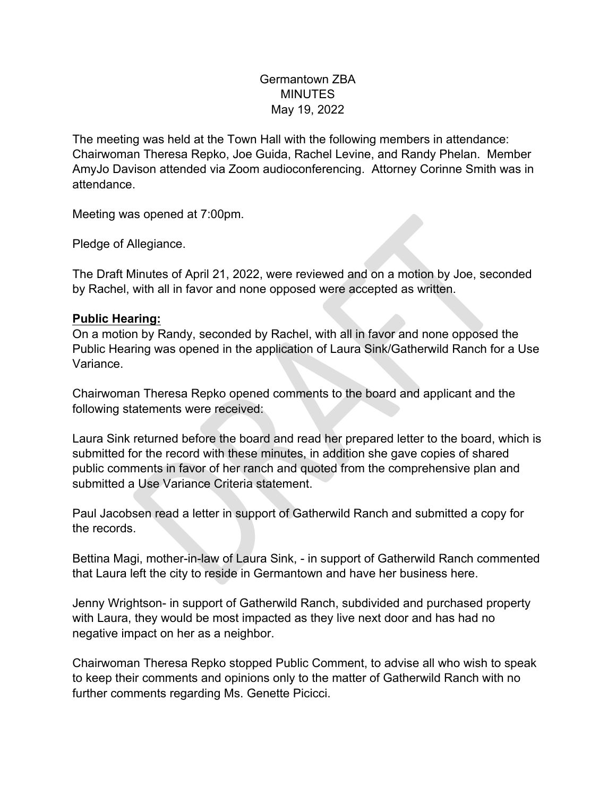## Germantown ZBA MINUTES May 19, 2022

The meeting was held at the Town Hall with the following members in attendance: Chairwoman Theresa Repko, Joe Guida, Rachel Levine, and Randy Phelan. Member AmyJo Davison attended via Zoom audioconferencing. Attorney Corinne Smith was in attendance.

Meeting was opened at 7:00pm.

Pledge of Allegiance.

The Draft Minutes of April 21, 2022, were reviewed and on a motion by Joe, seconded by Rachel, with all in favor and none opposed were accepted as written.

## **Public Hearing:**

On a motion by Randy, seconded by Rachel, with all in favor and none opposed the Public Hearing was opened in the application of Laura Sink/Gatherwild Ranch for a Use Variance.

Chairwoman Theresa Repko opened comments to the board and applicant and the following statements were received:

Allegiance.<br>
Minutes of April 21, 2022, were reviewed and on a motion by Joe, seco<br>
with all in favor and none opposed were accepted as written.<br>
The articular in favor and none opposed were accepted as written.<br>
The many Laura Sink returned before the board and read her prepared letter to the board, which is submitted for the record with these minutes, in addition she gave copies of shared public comments in favor of her ranch and quoted from the comprehensive plan and submitted a Use Variance Criteria statement.

Paul Jacobsen read a letter in support of Gatherwild Ranch and submitted a copy for the records.

Bettina Magi, mother-in-law of Laura Sink, - in support of Gatherwild Ranch commented that Laura left the city to reside in Germantown and have her business here.

Jenny Wrightson- in support of Gatherwild Ranch, subdivided and purchased property with Laura, they would be most impacted as they live next door and has had no negative impact on her as a neighbor.

Chairwoman Theresa Repko stopped Public Comment, to advise all who wish to speak to keep their comments and opinions only to the matter of Gatherwild Ranch with no further comments regarding Ms. Genette Picicci.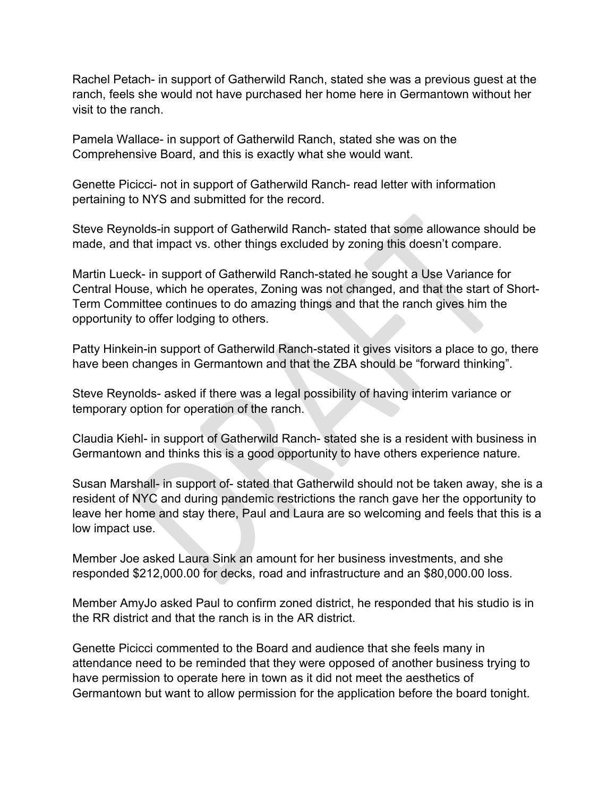Rachel Petach- in support of Gatherwild Ranch, stated she was a previous guest at the ranch, feels she would not have purchased her home here in Germantown without her visit to the ranch.

Pamela Wallace- in support of Gatherwild Ranch, stated she was on the Comprehensive Board, and this is exactly what she would want.

Genette Picicci- not in support of Gatherwild Ranch- read letter with information pertaining to NYS and submitted for the record.

Steve Reynolds-in support of Gatherwild Ranch- stated that some allowance should be made, and that impact vs. other things excluded by zoning this doesn't compare.

nolds-in support of Gatherwild Ranch- stated that some allowance shot<br>that impact vs. other things excluded by zoning this doesn't compare.<br>ck- in support of Gatherwild Ranch-stated he sought a Use Variance foc-<br>use, which Martin Lueck- in support of Gatherwild Ranch-stated he sought a Use Variance for Central House, which he operates, Zoning was not changed, and that the start of Short-Term Committee continues to do amazing things and that the ranch gives him the opportunity to offer lodging to others.

Patty Hinkein-in support of Gatherwild Ranch-stated it gives visitors a place to go, there have been changes in Germantown and that the ZBA should be "forward thinking".

Steve Reynolds- asked if there was a legal possibility of having interim variance or temporary option for operation of the ranch.

Claudia Kiehl- in support of Gatherwild Ranch- stated she is a resident with business in Germantown and thinks this is a good opportunity to have others experience nature.

Susan Marshall- in support of- stated that Gatherwild should not be taken away, she is a resident of NYC and during pandemic restrictions the ranch gave her the opportunity to leave her home and stay there, Paul and Laura are so welcoming and feels that this is a low impact use.

Member Joe asked Laura Sink an amount for her business investments, and she responded \$212,000.00 for decks, road and infrastructure and an \$80,000.00 loss.

Member AmyJo asked Paul to confirm zoned district, he responded that his studio is in the RR district and that the ranch is in the AR district.

Genette Picicci commented to the Board and audience that she feels many in attendance need to be reminded that they were opposed of another business trying to have permission to operate here in town as it did not meet the aesthetics of Germantown but want to allow permission for the application before the board tonight.